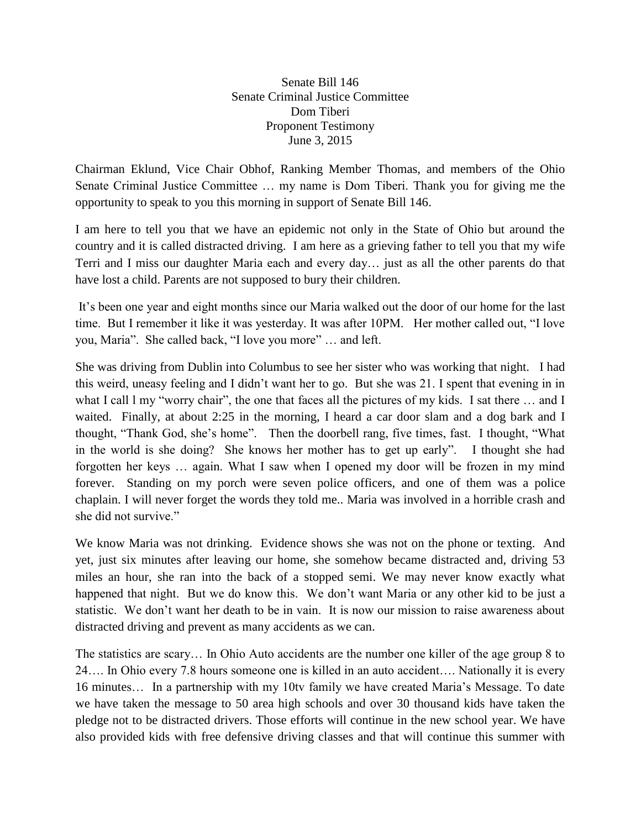Senate Bill 146 Senate Criminal Justice Committee Dom Tiberi Proponent Testimony June 3, 2015

Chairman Eklund, Vice Chair Obhof, Ranking Member Thomas, and members of the Ohio Senate Criminal Justice Committee … my name is Dom Tiberi. Thank you for giving me the opportunity to speak to you this morning in support of Senate Bill 146.

I am here to tell you that we have an epidemic not only in the State of Ohio but around the country and it is called distracted driving. I am here as a grieving father to tell you that my wife Terri and I miss our daughter Maria each and every day… just as all the other parents do that have lost a child. Parents are not supposed to bury their children.

It's been one year and eight months since our Maria walked out the door of our home for the last time. But I remember it like it was yesterday. It was after 10PM. Her mother called out, "I love you, Maria". She called back, "I love you more" … and left.

She was driving from Dublin into Columbus to see her sister who was working that night. I had this weird, uneasy feeling and I didn't want her to go. But she was 21. I spent that evening in in what I call 1 my "worry chair", the one that faces all the pictures of my kids. I sat there ... and I waited. Finally, at about 2:25 in the morning, I heard a car door slam and a dog bark and I thought, "Thank God, she's home". Then the doorbell rang, five times, fast. I thought, "What in the world is she doing? She knows her mother has to get up early". I thought she had forgotten her keys … again. What I saw when I opened my door will be frozen in my mind forever. Standing on my porch were seven police officers, and one of them was a police chaplain. I will never forget the words they told me.. Maria was involved in a horrible crash and she did not survive."

We know Maria was not drinking. Evidence shows she was not on the phone or texting. And yet, just six minutes after leaving our home, she somehow became distracted and, driving 53 miles an hour, she ran into the back of a stopped semi. We may never know exactly what happened that night. But we do know this. We don't want Maria or any other kid to be just a statistic. We don't want her death to be in vain. It is now our mission to raise awareness about distracted driving and prevent as many accidents as we can.

The statistics are scary… In Ohio Auto accidents are the number one killer of the age group 8 to 24…. In Ohio every 7.8 hours someone one is killed in an auto accident…. Nationally it is every 16 minutes… In a partnership with my 10tv family we have created Maria's Message. To date we have taken the message to 50 area high schools and over 30 thousand kids have taken the pledge not to be distracted drivers. Those efforts will continue in the new school year. We have also provided kids with free defensive driving classes and that will continue this summer with